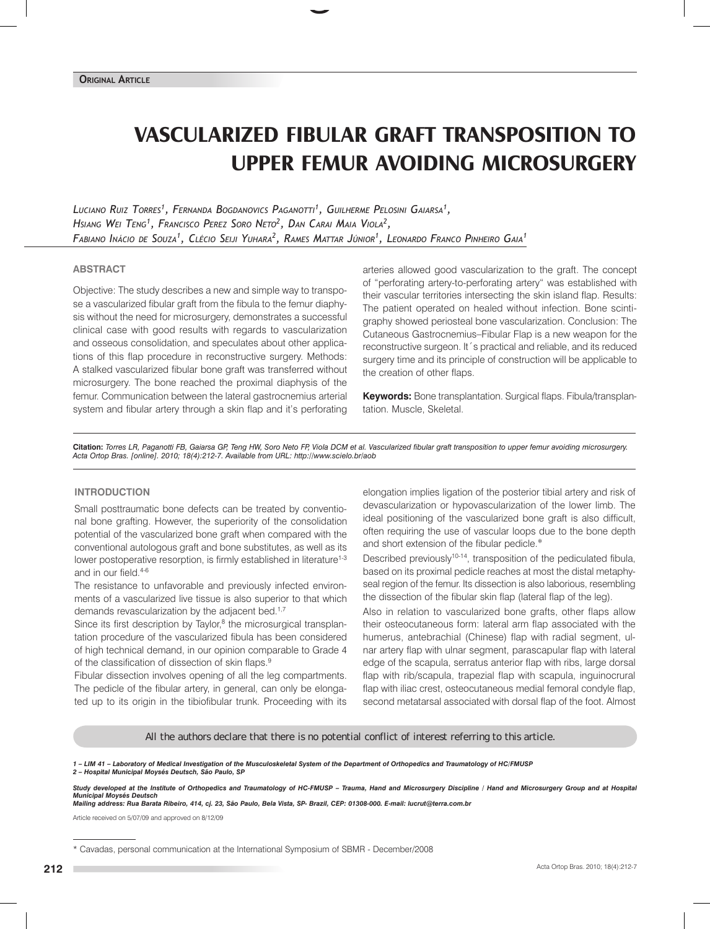# **VASCULARIZED FIBULAR GRAFT TRANSPOSITION TO UPPER FEMUR AVOIDING MICROSURGERY**

*Luciano Ruiz Torres1 , Fernanda Bogdanovics Paganotti1 , Guilherme Pelosini Gaiarsa1 , Hsiang Wei Teng1 , Francisco Perez Soro Neto2 , Dan Carai Maia Viola2 , Fabiano Inácio de Souza1 , Clécio Seiji Yuhara2 , Rames Mattar Júnior1 , Leonardo Franco Pinheiro Gaia1* 

#### **ABSTRACT**

Objective: The study describes a new and simple way to transpose a vascularized fibular graft from the fibula to the femur diaphysis without the need for microsurgery, demonstrates a successful clinical case with good results with regards to vascularization and osseous consolidation, and speculates about other applications of this flap procedure in reconstructive surgery. Methods: A stalked vascularized fibular bone graft was transferred without microsurgery. The bone reached the proximal diaphysis of the femur. Communication between the lateral gastrocnemius arterial system and fibular artery through a skin flap and it's perforating arteries allowed good vascularization to the graft. The concept of "perforating artery-to-perforating artery" was established with their vascular territories intersecting the skin island flap. Results: The patient operated on healed without infection. Bone scintigraphy showed periosteal bone vascularization. Conclusion: The Cutaneous Gastrocnemius–Fibular Flap is a new weapon for the reconstructive surgeon. It´s practical and reliable, and its reduced surgery time and its principle of construction will be applicable to the creation of other flaps.

**Keywords:** Bone transplantation. Surgical flaps. Fibula/transplantation. Muscle, Skeletal.

**Citation:** *Torres LR, Paganotti FB, Gaiarsa GP, Teng HW, Soro Neto FP, Viola DCM et al. Vascularized fibular graft transposition to upper femur avoiding microsurgery. Acta Ortop Bras. [online]. 2010; 18(4):212-7. Available from URL: http://www.scielo.br/aob*

## **INTRODUCTION**

Small posttraumatic bone defects can be treated by conventional bone grafting. However, the superiority of the consolidation potential of the vascularized bone graft when compared with the conventional autologous graft and bone substitutes, as well as its lower postoperative resorption, is firmly established in literature<sup>1-3</sup> and in our field.4-6

The resistance to unfavorable and previously infected environments of a vascularized live tissue is also superior to that which demands revascularization by the adjacent bed.<sup>1,7</sup>

Since its first description by Taylor, $8$  the microsurgical transplantation procedure of the vascularized fibula has been considered of high technical demand, in our opinion comparable to Grade 4 of the classification of dissection of skin flaps.<sup>9</sup>

Fibular dissection involves opening of all the leg compartments. The pedicle of the fibular artery, in general, can only be elongated up to its origin in the tibiofibular trunk. Proceeding with its elongation implies ligation of the posterior tibial artery and risk of devascularization or hypovascularization of the lower limb. The ideal positioning of the vascularized bone graft is also difficult, often requiring the use of vascular loops due to the bone depth and short extension of the fibular pedicle.∗

Described previously<sup>10-14</sup>, transposition of the pediculated fibula, based on its proximal pedicle reaches at most the distal metaphyseal region of the femur. Its dissection is also laborious, resembling the dissection of the fibular skin flap (lateral flap of the leg).

Also in relation to vascularized bone grafts, other flaps allow their osteocutaneous form: lateral arm flap associated with the humerus, antebrachial (Chinese) flap with radial segment, ulnar artery flap with ulnar segment, parascapular flap with lateral edge of the scapula, serratus anterior flap with ribs, large dorsal flap with rib/scapula, trapezial flap with scapula, inguinocrural flap with iliac crest, osteocutaneous medial femoral condyle flap, second metatarsal associated with dorsal flap of the foot. Almost

All the authors declare that there is no potential conflict of interest referring to this article.

*1 – LIM 41 – Laboratory of Medical Investigation of the Musculoskeletal System of the Department of Orthopedics and Traumatology of HC/FMUSP 2 – Hospital Municipal Moysés Deutsch, São Paulo, SP*

*Study developed at the Institute of Orthopedics and Traumatology of HC-FMUSP – Trauma, Hand and Microsurgery Discipline / Hand and Microsurgery Group and at Hospital Municipal Moysés Deutsch Mailing address: Rua Barata Ribeiro, 414, cj. 23, São Paulo, Bela Vista, SP- Brazil, CEP: 01308-000. E-mail: lucrut@terra.com.br*

Article received on 5/07/09 and approved on 8/12/09

<sup>\*</sup> Cavadas, personal communication at the International Symposium of SBMR - December/2008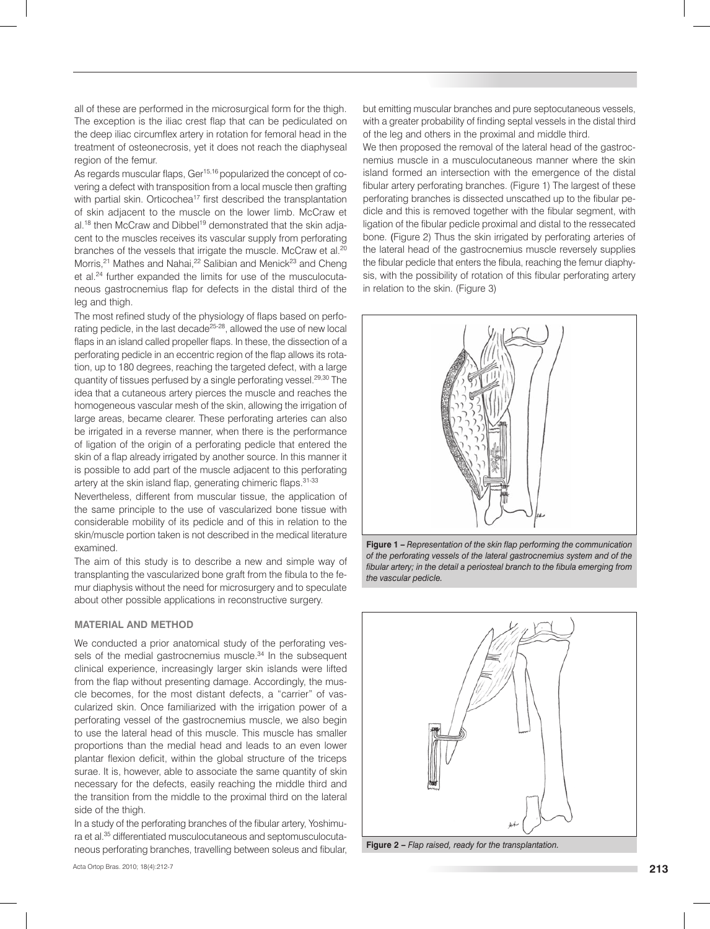all of these are performed in the microsurgical form for the thigh. The exception is the iliac crest flap that can be pediculated on the deep iliac circumflex artery in rotation for femoral head in the treatment of osteonecrosis, yet it does not reach the diaphyseal region of the femur.

As regards muscular flaps, Ger<sup>15,16</sup> popularized the concept of covering a defect with transposition from a local muscle then grafting with partial skin. Orticochea<sup>17</sup> first described the transplantation of skin adjacent to the muscle on the lower limb. McCraw et al.<sup>18</sup> then McCraw and Dibbel<sup>19</sup> demonstrated that the skin adjacent to the muscles receives its vascular supply from perforating branches of the vessels that irrigate the muscle. McCraw et al.<sup>20</sup> Morris,<sup>21</sup> Mathes and Nahai,<sup>22</sup> Salibian and Menick<sup>23</sup> and Cheng et al.<sup>24</sup> further expanded the limits for use of the musculocutaneous gastrocnemius flap for defects in the distal third of the leg and thigh.

The most refined study of the physiology of flaps based on perforating pedicle, in the last decade<sup>25-28</sup>, allowed the use of new local flaps in an island called propeller flaps. In these, the dissection of a perforating pedicle in an eccentric region of the flap allows its rotation, up to 180 degrees, reaching the targeted defect, with a large quantity of tissues perfused by a single perforating vessel.<sup>29,30</sup> The idea that a cutaneous artery pierces the muscle and reaches the homogeneous vascular mesh of the skin, allowing the irrigation of large areas, became clearer. These perforating arteries can also be irrigated in a reverse manner, when there is the performance of ligation of the origin of a perforating pedicle that entered the skin of a flap already irrigated by another source. In this manner it is possible to add part of the muscle adjacent to this perforating artery at the skin island flap, generating chimeric flaps. 31-33

Nevertheless, different from muscular tissue, the application of the same principle to the use of vascularized bone tissue with considerable mobility of its pedicle and of this in relation to the skin/muscle portion taken is not described in the medical literature examined.

The aim of this study is to describe a new and simple way of transplanting the vascularized bone graft from the fibula to the femur diaphysis without the need for microsurgery and to speculate about other possible applications in reconstructive surgery.

#### **MATERIAL And METHOD**

We conducted a prior anatomical study of the perforating vessels of the medial gastrocnemius muscle.<sup>34</sup> In the subsequent clinical experience, increasingly larger skin islands were lifted from the flap without presenting damage. Accordingly, the muscle becomes, for the most distant defects, a "carrier" of vascularized skin. Once familiarized with the irrigation power of a perforating vessel of the gastrocnemius muscle, we also begin to use the lateral head of this muscle. This muscle has smaller proportions than the medial head and leads to an even lower plantar flexion deficit, within the global structure of the triceps surae. It is, however, able to associate the same quantity of skin necessary for the defects, easily reaching the middle third and the transition from the middle to the proximal third on the lateral side of the thigh.

In a study of the perforating branches of the fibular artery, Yoshimura et al.35 differentiated musculocutaneous and septomusculocutaneous perforating branches, travelling between soleus and fibular, but emitting muscular branches and pure septocutaneous vessels, with a greater probability of finding septal vessels in the distal third of the leg and others in the proximal and middle third.

We then proposed the removal of the lateral head of the gastrocnemius muscle in a musculocutaneous manner where the skin island formed an intersection with the emergence of the distal fibular artery perforating branches. (Figure 1) The largest of these perforating branches is dissected unscathed up to the fibular pedicle and this is removed together with the fibular segment, with ligation of the fibular pedicle proximal and distal to the ressecated bone. (Figure 2) Thus the skin irrigated by perforating arteries of the lateral head of the gastrocnemius muscle reversely supplies the fibular pedicle that enters the fibula, reaching the femur diaphysis, with the possibility of rotation of this fibular perforating artery in relation to the skin. (Figure 3)



**Figure 1 –** *Representation of the skin flap performing the communication of the perforating vessels of the lateral gastrocnemius system and of the fibular artery; in the detail a periosteal branch to the fibula emerging from the vascular pedicle.*



**Figure 2 –** *Flap raised, ready for the transplantation.*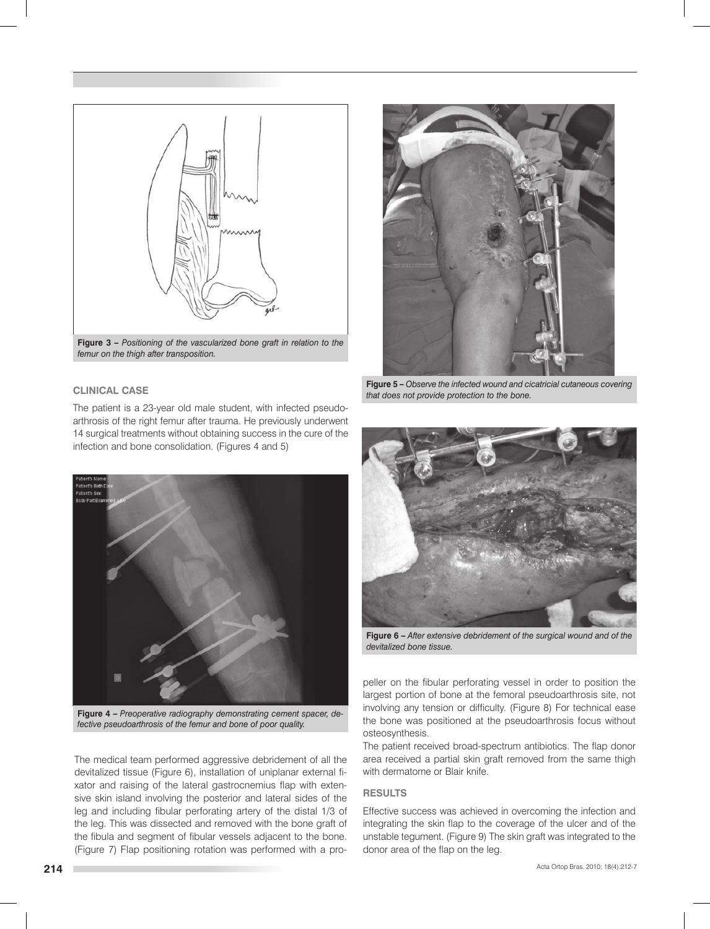

**Figure 3 –** *Positioning of the vascularized bone graft in relation to the femur on the thigh after transposition.*

### **CLINICAL CASE**

The patient is a 23-year old male student, with infected pseudoarthrosis of the right femur after trauma. He previously underwent 14 surgical treatments without obtaining success in the cure of the infection and bone consolidation. (Figures 4 and 5)



**Figure 4 –** *Preoperative radiography demonstrating cement spacer, defective pseudoarthrosis of the femur and bone of poor quality.*

The medical team performed aggressive debridement of all the devitalized tissue (Figure 6), installation of uniplanar external fixator and raising of the lateral gastrocnemius flap with extensive skin island involving the posterior and lateral sides of the leg and including fibular perforating artery of the distal 1/3 of the leg. This was dissected and removed with the bone graft of the fibula and segment of fibular vessels adjacent to the bone. (Figure 7) Flap positioning rotation was performed with a pro-



**Figure 5 –** *Observe the infected wound and cicatricial cutaneous covering that does not provide protection to the bone.*



**Figure 6 –** *After extensive debridement of the surgical wound and of the devitalized bone tissue.*

peller on the fibular perforating vessel in order to position the largest portion of bone at the femoral pseudoarthrosis site, not involving any tension or difficulty. (Figure 8) For technical ease the bone was positioned at the pseudoarthrosis focus without osteosynthesis.

The patient received broad-spectrum antibiotics. The flap donor area received a partial skin graft removed from the same thigh with dermatome or Blair knife.

### **RESULTS**

Effective success was achieved in overcoming the infection and integrating the skin flap to the coverage of the ulcer and of the unstable tegument. (Figure 9) The skin graft was integrated to the donor area of the flap on the leg.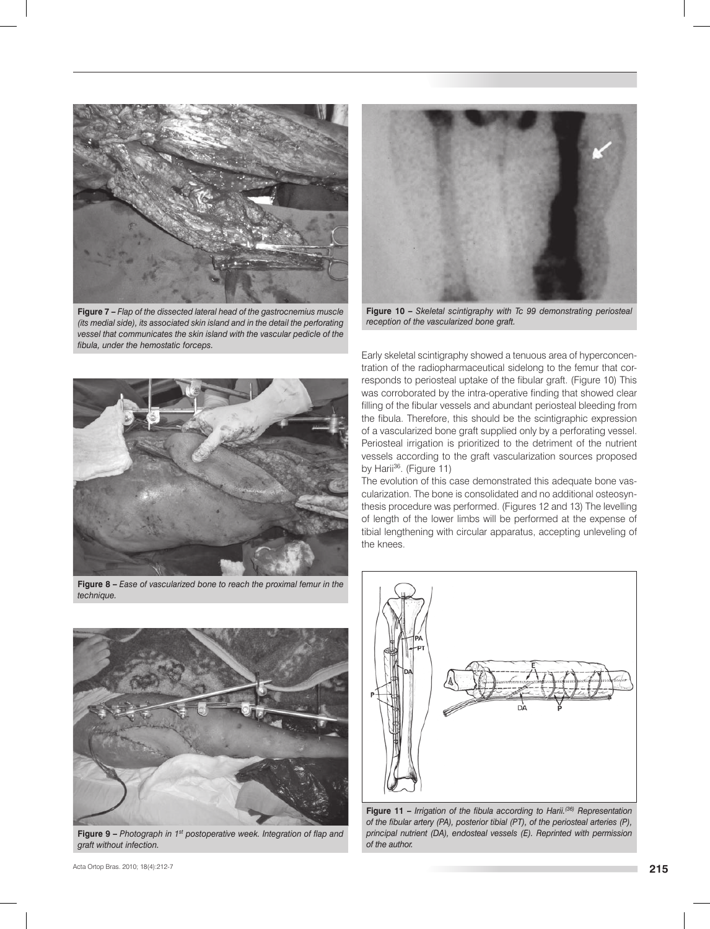

**Figure 7 –** *Flap of the dissected lateral head of the gastrocnemius muscle (its medial side), its associated skin island and in the detail the perforating vessel that communicates the skin island with the vascular pedicle of the fibula, under the hemostatic forceps.*



**Figure 10 –** *Skeletal scintigraphy with Tc 99 demonstrating periosteal reception of the vascularized bone graft.*



**Figure 8 –** *Ease of vascularized bone to reach the proximal femur in the technique.* 



**Figure 9 –** *Photograph in 1st postoperative week. Integration of flap and graft without infection.*

Early skeletal scintigraphy showed a tenuous area of hyperconcentration of the radiopharmaceutical sidelong to the femur that corresponds to periosteal uptake of the fibular graft. (Figure 10) This was corroborated by the intra-operative finding that showed clear filling of the fibular vessels and abundant periosteal bleeding from the fibula. Therefore, this should be the scintigraphic expression of a vascularized bone graft supplied only by a perforating vessel. Periosteal irrigation is prioritized to the detriment of the nutrient vessels according to the graft vascularization sources proposed by Harii<sup>36</sup>. (Figure 11)

The evolution of this case demonstrated this adequate bone vascularization. The bone is consolidated and no additional osteosynthesis procedure was performed. (Figures 12 and 13) The levelling of length of the lower limbs will be performed at the expense of tibial lengthening with circular apparatus, accepting unleveling of the knees.



**Figure 11 –** *Irrigation of the fibula according to Harii.(36) Representation of the fibular artery (PA), posterior tibial (PT), of the periosteal arteries (P), principal nutrient (DA), endosteal vessels (E). Reprinted with permission of the author.*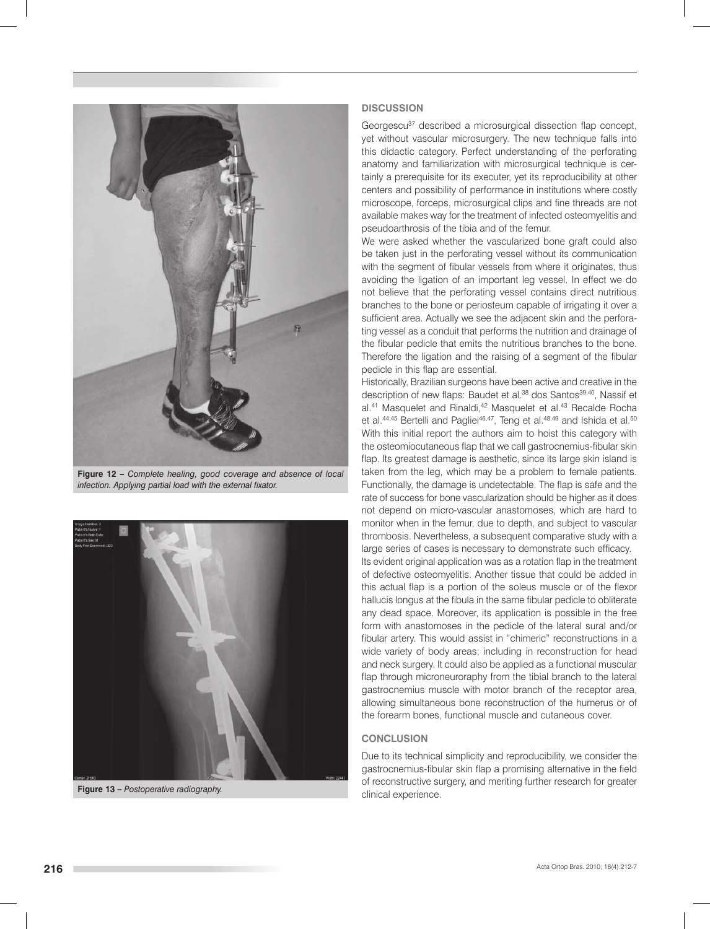

**Figure 12 –** *Complete healing, good coverage and absence of local infection. Applying partial load with the external fixator.*



**Figure 13 –** *Postoperative radiography.*

#### **DISCUSSION**

Georgescu<sup>37</sup> described a microsurgical dissection flap concept, yet without vascular microsurgery. The new technique falls into this didactic category. Perfect understanding of the perforating anatomy and familiarization with microsurgical technique is certainly a prerequisite for its executer, yet its reproducibility at other centers and possibility of performance in institutions where costly microscope, forceps, microsurgical clips and fine threads are not available makes way for the treatment of infected osteomyelitis and pseudoarthrosis of the tibia and of the femur.

We were asked whether the vascularized bone graft could also be taken just in the perforating vessel without its communication with the segment of fibular vessels from where it originates, thus avoiding the ligation of an important leg vessel. In effect we do not believe that the perforating vessel contains direct nutritious branches to the bone or periosteum capable of irrigating it over a sufficient area. Actually we see the adjacent skin and the perforating vessel as a conduit that performs the nutrition and drainage of the fibular pedicle that emits the nutritious branches to the bone. Therefore the ligation and the raising of a segment of the fibular pedicle in this flap are essential.

Historically, Brazilian surgeons have been active and creative in the description of new flaps: Baudet et al.<sup>38</sup> dos Santos<sup>39,40</sup>, Nassif et al.<sup>41</sup> Masquelet and Rinaldi,<sup>42</sup> Masquelet et al.<sup>43</sup> Recalde Rocha et al.<sup>44,45</sup> Bertelli and Pagliei<sup>46,47</sup>, Teng et al.<sup>48,49</sup> and Ishida et al.<sup>50</sup> With this initial report the authors aim to hoist this category with the osteomiocutaneous flap that we call gastrocnemius-fibular skin flap. Its greatest damage is aesthetic, since its large skin island is taken from the leg, which may be a problem to female patients. Functionally, the damage is undetectable. The flap is safe and the rate of success for bone vascularization should be higher as it does not depend on micro-vascular anastomoses, which are hard to monitor when in the femur, due to depth, and subject to vascular thrombosis. Nevertheless, a subsequent comparative study with a large series of cases is necessary to demonstrate such efficacy. Its evident original application was as a rotation flap in the treatment of defective osteomyelitis. Another tissue that could be added in this actual flap is a portion of the soleus muscle or of the flexor hallucis longus at the fibula in the same fibular pedicle to obliterate any dead space. Moreover, its application is possible in the free form with anastomoses in the pedicle of the lateral sural and/or fibular artery. This would assist in "chimeric" reconstructions in a wide variety of body areas; including in reconstruction for head and neck surgery. It could also be applied as a functional muscular flap through microneuroraphy from the tibial branch to the lateral gastrocnemius muscle with motor branch of the receptor area, allowing simultaneous bone reconstruction of the humerus or of the forearm bones, functional muscle and cutaneous cover.

#### **CONCLUSION**

Due to its technical simplicity and reproducibility, we consider the gastrocnemius-fibular skin flap a promising alternative in the field of reconstructive surgery, and meriting further research for greater clinical experience.